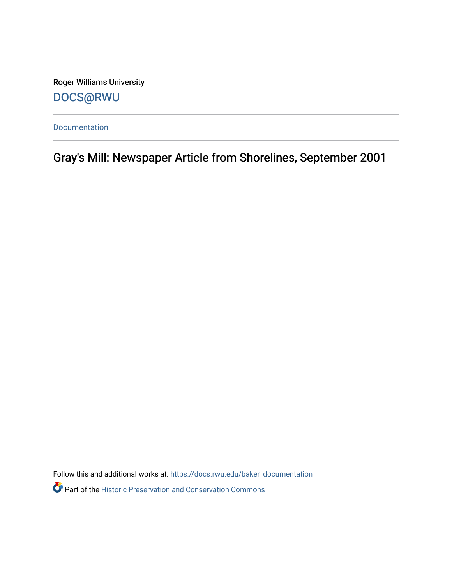Roger Williams University [DOCS@RWU](https://docs.rwu.edu/)

[Documentation](https://docs.rwu.edu/baker_documentation) 

Gray's Mill: Newspaper Article from Shorelines, September 2001

Follow this and additional works at: [https://docs.rwu.edu/baker\\_documentation](https://docs.rwu.edu/baker_documentation?utm_source=docs.rwu.edu%2Fbaker_documentation%2F63&utm_medium=PDF&utm_campaign=PDFCoverPages) 

Part of the [Historic Preservation and Conservation Commons](http://network.bepress.com/hgg/discipline/781?utm_source=docs.rwu.edu%2Fbaker_documentation%2F63&utm_medium=PDF&utm_campaign=PDFCoverPages)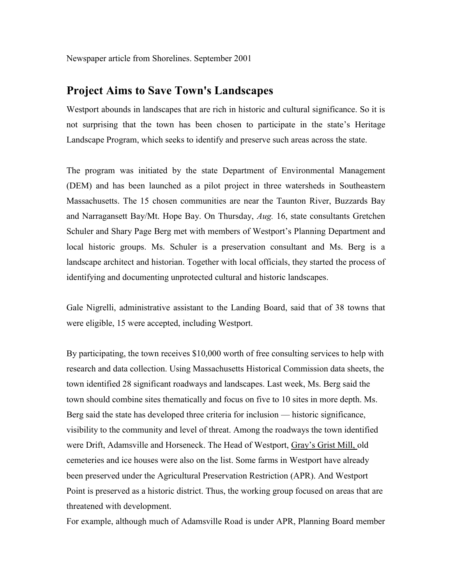Newspaper article from Shorelines. September 2001

## **Project Aims to Save Town's Landscapes**

Westport abounds in landscapes that are rich in historic and cultural significance. So it is not surprising that the town has been chosen to participate in the state's Heritage Landscape Program, which seeks to identify and preserve such areas across the state.

The program was initiated by the state Department of Environmental Management (DEM) and has been launched as a pilot project in three watersheds in Southeastern Massachusetts. The 15 chosen communities are near the Taunton River, Buzzards Bay and Narragansett Bay/Mt. Hope Bay. On Thursday, *Aug.* 16, state consultants Gretchen Schuler and Shary Page Berg met with members of Westport's Planning Department and local historic groups. Ms. Schuler is a preservation consultant and Ms. Berg is a landscape architect and historian. Together with local officials, they started the process of identifying and documenting unprotected cultural and historic landscapes.

Gale Nigrelli, administrative assistant to the Landing Board, said that of 38 towns that were eligible, 15 were accepted, including Westport.

By participating, the town receives \$10,000 worth of free consulting services to help with research and data collection. Using Massachusetts Historical Commission data sheets, the town identified 28 significant roadways and landscapes. Last week, Ms. Berg said the town should combine sites thematically and focus on five to 10 sites in more depth. Ms. Berg said the state has developed three criteria for inclusion — historic significance, visibility to the community and level of threat. Among the roadways the town identified were Drift, Adamsville and Horseneck. The Head of Westport, Gray's Grist Mill, old cemeteries and ice houses were also on the list. Some farms in Westport have already been preserved under the Agricultural Preservation Restriction (APR). And Westport Point is preserved as a historic district. Thus, the working group focused on areas that are threatened with development.

For example, although much of Adamsville Road is under APR, Planning Board member